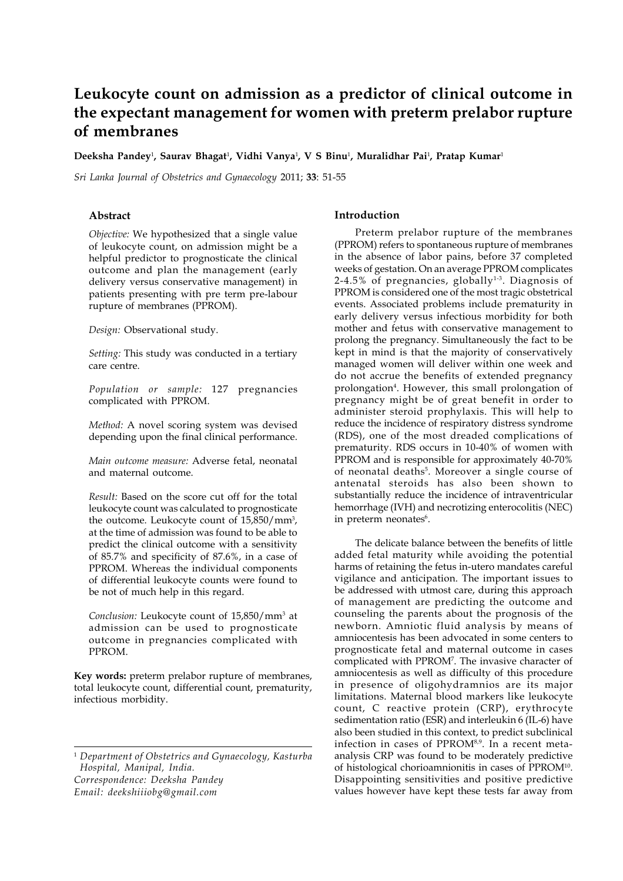# **Leukocyte count on admission as a predictor of clinical outcome in the expectant management for women with preterm prelabor rupture of membranes**

**Deeksha Pandey**<sup>1</sup> **, Saurav Bhagat**<sup>1</sup> **, Vidhi Vanya**<sup>1</sup> **, V S Binu**<sup>1</sup> **, Muralidhar Pai**<sup>1</sup> **, Pratap Kumar**<sup>1</sup>

*Sri Lanka Journal of Obstetrics and Gynaecology* 2011; **33**: 51-55

## **Abstract**

*Objective:* We hypothesized that a single value of leukocyte count, on admission might be a helpful predictor to prognosticate the clinical outcome and plan the management (early delivery versus conservative management) in patients presenting with pre term pre-labour rupture of membranes (PPROM).

*Design:* Observational study.

*Setting:* This study was conducted in a tertiary care centre.

*Population or sample:* 127 pregnancies complicated with PPROM.

*Method:* A novel scoring system was devised depending upon the final clinical performance.

*Main outcome measure:* Adverse fetal, neonatal and maternal outcome.

*Result:* Based on the score cut off for the total leukocyte count was calculated to prognosticate the outcome. Leukocyte count of 15,850/mm<sup>3</sup>, at the time of admission was found to be able to predict the clinical outcome with a sensitivity of 85.7% and specificity of 87.6%, in a case of PPROM. Whereas the individual components of differential leukocyte counts were found to be not of much help in this regard.

Conclusion: Leukocyte count of 15,850/mm<sup>3</sup> at admission can be used to prognosticate outcome in pregnancies complicated with PPROM.

**Key words:** preterm prelabor rupture of membranes, total leukocyte count, differential count, prematurity, infectious morbidity.

<sup>1</sup> *Department of Obstetrics and Gynaecology, Kasturba Hospital, Manipal, India. Correspondence: Deeksha Pandey Email: deekshiiiobg@gmail.com*

## **Introduction**

Preterm prelabor rupture of the membranes (PPROM) refers to spontaneous rupture of membranes in the absence of labor pains, before 37 completed weeks of gestation. On an average PPROM complicates  $2-4.5%$  of pregnancies, globally<sup>1-3</sup>. Diagnosis of PPROM is considered one of the most tragic obstetrical events. Associated problems include prematurity in early delivery versus infectious morbidity for both mother and fetus with conservative management to prolong the pregnancy. Simultaneously the fact to be kept in mind is that the majority of conservatively managed women will deliver within one week and do not accrue the benefits of extended pregnancy prolongation<sup>4</sup>. However, this small prolongation of pregnancy might be of great benefit in order to administer steroid prophylaxis. This will help to reduce the incidence of respiratory distress syndrome (RDS), one of the most dreaded complications of prematurity. RDS occurs in 10-40% of women with PPROM and is responsible for approximately 40-70% of neonatal deaths<sup>5</sup>. Moreover a single course of antenatal steroids has also been shown to substantially reduce the incidence of intraventricular hemorrhage (IVH) and necrotizing enterocolitis (NEC) in preterm neonates<sup>6</sup>.

The delicate balance between the benefits of little added fetal maturity while avoiding the potential harms of retaining the fetus in-utero mandates careful vigilance and anticipation. The important issues to be addressed with utmost care, during this approach of management are predicting the outcome and counseling the parents about the prognosis of the newborn. Amniotic fluid analysis by means of amniocentesis has been advocated in some centers to prognosticate fetal and maternal outcome in cases complicated with PPROM7 . The invasive character of amniocentesis as well as difficulty of this procedure in presence of oligohydramnios are its major limitations. Maternal blood markers like leukocyte count, C reactive protein (CRP), erythrocyte sedimentation ratio (ESR) and interleukin 6 (IL-6) have also been studied in this context, to predict subclinical infection in cases of PPROM<sup>8,9</sup>. In a recent metaanalysis CRP was found to be moderately predictive of histological chorioamnionitis in cases of PPROM10. Disappointing sensitivities and positive predictive values however have kept these tests far away from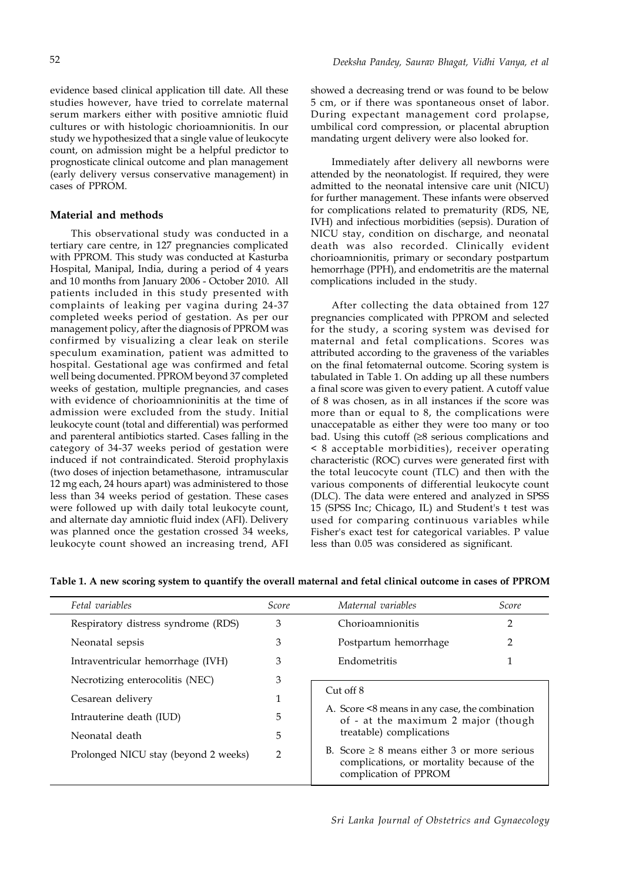evidence based clinical application till date. All these studies however, have tried to correlate maternal serum markers either with positive amniotic fluid cultures or with histologic chorioamnionitis. In our study we hypothesized that a single value of leukocyte count, on admission might be a helpful predictor to prognosticate clinical outcome and plan management (early delivery versus conservative management) in cases of PPROM.

## **Material and methods**

This observational study was conducted in a tertiary care centre, in 127 pregnancies complicated with PPROM. This study was conducted at Kasturba Hospital, Manipal, India, during a period of 4 years and 10 months from January 2006 - October 2010. All patients included in this study presented with complaints of leaking per vagina during 24-37 completed weeks period of gestation. As per our management policy, after the diagnosis of PPROM was confirmed by visualizing a clear leak on sterile speculum examination, patient was admitted to hospital. Gestational age was confirmed and fetal well being documented. PPROM beyond 37 completed weeks of gestation, multiple pregnancies, and cases with evidence of chorioamnioninitis at the time of admission were excluded from the study. Initial leukocyte count (total and differential) was performed and parenteral antibiotics started. Cases falling in the category of 34-37 weeks period of gestation were induced if not contraindicated. Steroid prophylaxis (two doses of injection betamethasone, intramuscular 12 mg each, 24 hours apart) was administered to those less than 34 weeks period of gestation. These cases were followed up with daily total leukocyte count, and alternate day amniotic fluid index (AFI). Delivery was planned once the gestation crossed 34 weeks, leukocyte count showed an increasing trend, AFI showed a decreasing trend or was found to be below 5 cm, or if there was spontaneous onset of labor. During expectant management cord prolapse, umbilical cord compression, or placental abruption mandating urgent delivery were also looked for.

Immediately after delivery all newborns were attended by the neonatologist. If required, they were admitted to the neonatal intensive care unit (NICU) for further management. These infants were observed for complications related to prematurity (RDS, NE, IVH) and infectious morbidities (sepsis). Duration of NICU stay, condition on discharge, and neonatal death was also recorded. Clinically evident chorioamnionitis, primary or secondary postpartum hemorrhage (PPH), and endometritis are the maternal complications included in the study.

After collecting the data obtained from 127 pregnancies complicated with PPROM and selected for the study, a scoring system was devised for maternal and fetal complications. Scores was attributed according to the graveness of the variables on the final fetomaternal outcome. Scoring system is tabulated in Table 1. On adding up all these numbers a final score was given to every patient. A cutoff value of 8 was chosen, as in all instances if the score was more than or equal to 8, the complications were unaccepatable as either they were too many or too bad. Using this cutoff (≥8 serious complications and < 8 acceptable morbidities), receiver operating characteristic (ROC) curves were generated first with the total leucocyte count (TLC) and then with the various components of differential leukocyte count (DLC). The data were entered and analyzed in SPSS 15 (SPSS Inc; Chicago, IL) and Student's t test was used for comparing continuous variables while Fisher's exact test for categorical variables. P value less than 0.05 was considered as significant.

| Fetal variables                      | <i>Score</i> | Maternal variables                                                                                                                                                                                                                                            | Score |
|--------------------------------------|--------------|---------------------------------------------------------------------------------------------------------------------------------------------------------------------------------------------------------------------------------------------------------------|-------|
| Respiratory distress syndrome (RDS)  | 3            | Chorioamnionitis                                                                                                                                                                                                                                              |       |
| Neonatal sepsis                      | 3            | Postpartum hemorrhage                                                                                                                                                                                                                                         |       |
| Intraventricular hemorrhage (IVH)    | 3            | Endometritis                                                                                                                                                                                                                                                  |       |
| Necrotizing enterocolitis (NEC)      | 3            | $Cut$ off $8$<br>A. Score <8 means in any case, the combination<br>of - at the maximum 2 major (though<br>treatable) complications<br>B. Score $\geq 8$ means either 3 or more serious<br>complications, or mortality because of the<br>complication of PPROM |       |
| Cesarean delivery                    | 1            |                                                                                                                                                                                                                                                               |       |
| Intrauterine death (IUD)             | 5            |                                                                                                                                                                                                                                                               |       |
| Neonatal death                       | 5            |                                                                                                                                                                                                                                                               |       |
| Prolonged NICU stay (beyond 2 weeks) | 2            |                                                                                                                                                                                                                                                               |       |

**Table 1. A new scoring system to quantify the overall maternal and fetal clinical outcome in cases of PPROM**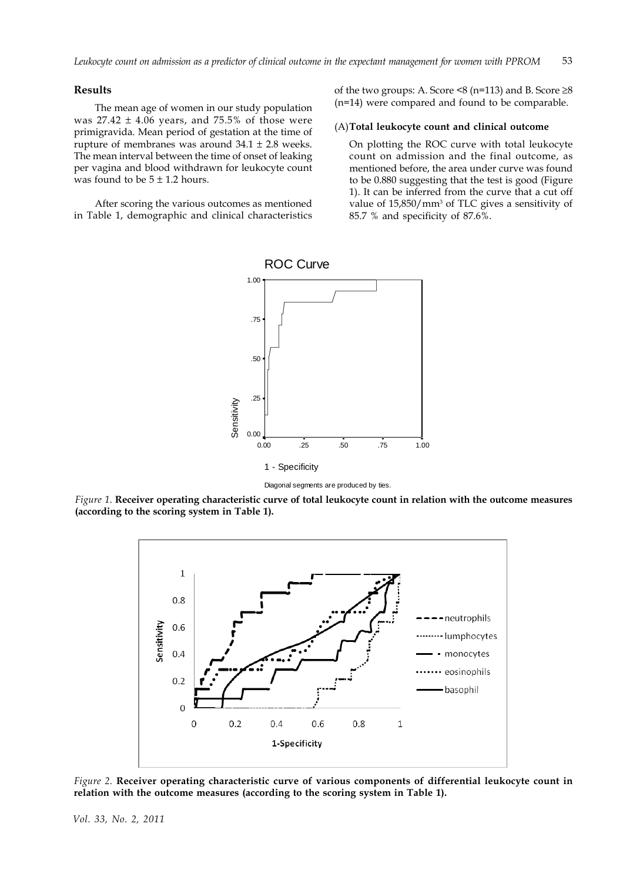## **Results**

The mean age of women in our study population was  $27.42 \pm 4.06$  years, and 75.5% of those were primigravida. Mean period of gestation at the time of rupture of membranes was around  $34.1 \pm 2.8$  weeks. The mean interval between the time of onset of leaking per vagina and blood withdrawn for leukocyte count was found to be  $5 \pm 1.2$  hours.

After scoring the various outcomes as mentioned in Table 1, demographic and clinical characteristics of the two groups: A. Score  $\leq 8$  (n=113) and B. Score  $\geq 8$ (n=14) were compared and found to be comparable.

## (A)**Total leukocyte count and clinical outcome**

On plotting the ROC curve with total leukocyte count on admission and the final outcome, as mentioned before, the area under curve was found to be 0.880 suggesting that the test is good (Figure 1). It can be inferred from the curve that a cut off value of 15,850/mm<sup>3</sup> of TLC gives a sensitivity of 85.7 % and specificity of 87.6%.



Diagonal segments are produced by ties.

*Figure 1*. **Receiver operating characteristic curve of total leukocyte count in relation with the outcome measures (according to the scoring system in Table 1).**



*Figure 2.* **Receiver operating characteristic curve of various components of differential leukocyte count in relation with the outcome measures (according to the scoring system in Table 1).**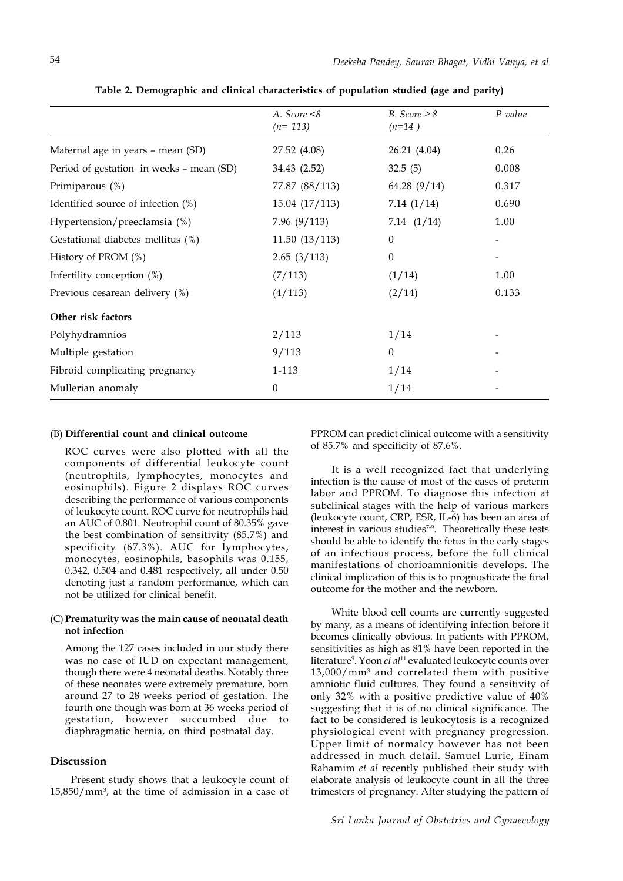|                                          | A. Score $<8$<br>$(n=113)$ | B. Score $\geq 8$<br>$(n=14)$ | P value |
|------------------------------------------|----------------------------|-------------------------------|---------|
| Maternal age in years - mean (SD)        | 27.52 (4.08)               | 26.21 (4.04)                  | 0.26    |
| Period of gestation in weeks - mean (SD) | 34.43 (2.52)               | 32.5(5)                       | 0.008   |
| Primiparous (%)                          | 77.87 (88/113)             | 64.28 (9/14)                  | 0.317   |
| Identified source of infection (%)       | 15.04(17/113)              | 7.14 $(1/14)$                 | 0.690   |
| Hypertension/preeclamsia (%)             | 7.96(9/113)                | 7.14(1/14)                    | 1.00    |
| Gestational diabetes mellitus (%)        | 11.50(13/113)              | $\Omega$                      |         |
| History of PROM (%)                      | 2.65(3/113)                | $\Omega$                      |         |
| Infertility conception $(\%)$            | (7/113)                    | (1/14)                        | 1.00    |
| Previous cesarean delivery (%)           | (4/113)                    | (2/14)                        | 0.133   |
| Other risk factors                       |                            |                               |         |
| Polyhydramnios                           | 2/113                      | 1/14                          |         |
| Multiple gestation                       | 9/113                      | $\Omega$                      |         |
| Fibroid complicating pregnancy           | 1-113                      | 1/14                          |         |
| Mullerian anomaly                        | $\Omega$                   | 1/14                          |         |

**Table 2. Demographic and clinical characteristics of population studied (age and parity)**

#### (B) **Differential count and clinical outcome**

ROC curves were also plotted with all the components of differential leukocyte count (neutrophils, lymphocytes, monocytes and eosinophils). Figure 2 displays ROC curves describing the performance of various components of leukocyte count. ROC curve for neutrophils had an AUC of 0.801. Neutrophil count of 80.35% gave the best combination of sensitivity  $(85.7%)$  and specificity (67.3%). AUC for lymphocytes, monocytes, eosinophils, basophils was 0.155, 0.342, 0.504 and 0.481 respectively, all under 0.50 denoting just a random performance, which can not be utilized for clinical benefit.

## (C)**Prematurity was the main cause of neonatal death not infection**

Among the 127 cases included in our study there was no case of IUD on expectant management, though there were 4 neonatal deaths. Notably three of these neonates were extremely premature, born around 27 to 28 weeks period of gestation. The fourth one though was born at 36 weeks period of gestation, however succumbed due to diaphragmatic hernia, on third postnatal day.

## **Discussion**

Present study shows that a leukocyte count of 15,850/mm3 , at the time of admission in a case of

PPROM can predict clinical outcome with a sensitivity of 85.7% and specificity of 87.6%.

It is a well recognized fact that underlying infection is the cause of most of the cases of preterm labor and PPROM. To diagnose this infection at subclinical stages with the help of various markers (leukocyte count, CRP, ESR, IL-6) has been an area of interest in various studies<sup>7-9</sup>. Theoretically these tests should be able to identify the fetus in the early stages of an infectious process, before the full clinical manifestations of chorioamnionitis develops. The clinical implication of this is to prognosticate the final outcome for the mother and the newborn.

White blood cell counts are currently suggested by many, as a means of identifying infection before it becomes clinically obvious. In patients with PPROM, sensitivities as high as 81% have been reported in the literature9 . Yoon *et al*11 evaluated leukocyte counts over 13,000/mm3 and correlated them with positive amniotic fluid cultures. They found a sensitivity of only 32% with a positive predictive value of 40% suggesting that it is of no clinical significance. The fact to be considered is leukocytosis is a recognized physiological event with pregnancy progression. Upper limit of normalcy however has not been addressed in much detail. Samuel Lurie, Einam Rahamim *et al* recently published their study with elaborate analysis of leukocyte count in all the three trimesters of pregnancy. After studying the pattern of